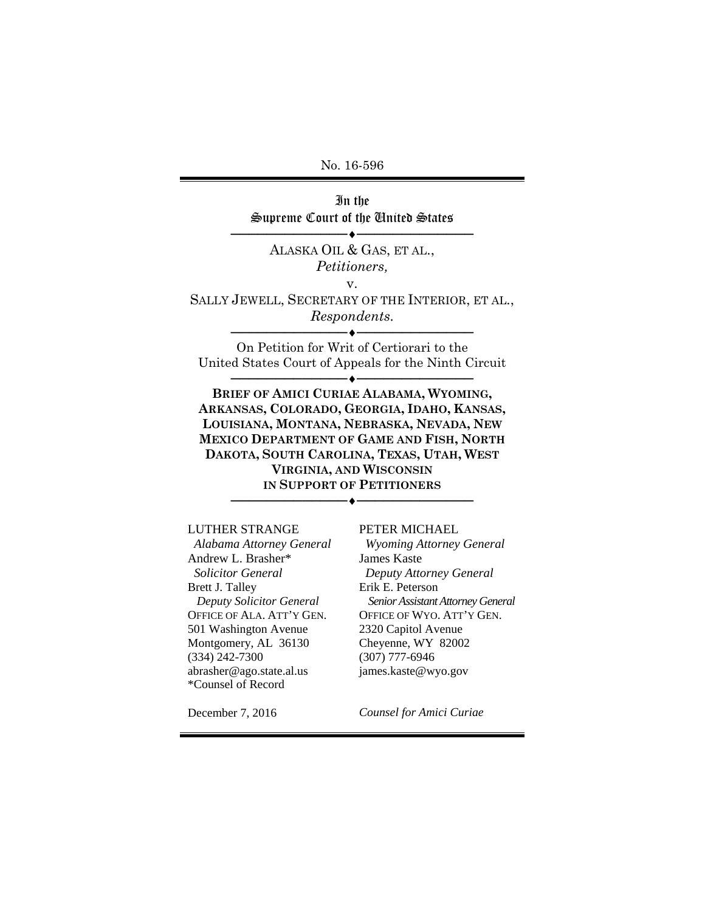No. 16-596

In the Supreme Court of the United States

──────────────────────────

ALASKA OIL & GAS, ET AL., *Petitioners,* 

v.

SALLY JEWELL, SECRETARY OF THE INTERIOR, ET AL., *Respondents.*  ──────────────────────────

On Petition for Writ of Certiorari to the United States Court of Appeals for the Ninth Circuit

──────────────────────────

**BRIEF OF AMICI CURIAE ALABAMA, WYOMING, ARKANSAS, COLORADO, GEORGIA, IDAHO, KANSAS, LOUISIANA, MONTANA, NEBRASKA, NEVADA, NEW MEXICO DEPARTMENT OF GAME AND FISH, NORTH DAKOTA, SOUTH CAROLINA, TEXAS, UTAH, WEST VIRGINIA, AND WISCONSIN IN SUPPORT OF PETITIONERS**

──────────────────────────

LUTHER STRANGE

 *Alabama Attorney General*  Andrew L. Brasher\*  *Solicitor General*  Brett J. Talley *Deputy Solicitor General*  OFFICE OF ALA. ATT'Y GEN. 501 Washington Avenue Montgomery, AL 36130 (334) 242-7300 abrasher@ago.state.al.us \*Counsel of Record

PETER MICHAEL

 *Wyoming Attorney General* James Kaste  *Deputy Attorney General*  Erik E. Peterson *Senior Assistant Attorney General*  OFFICE OF WYO. ATT'Y GEN. 2320 Capitol Avenue Cheyenne, WY 82002 (307) 777-6946 james.kaste@wyo.gov

December 7, 2016

*Counsel for Amici Curiae*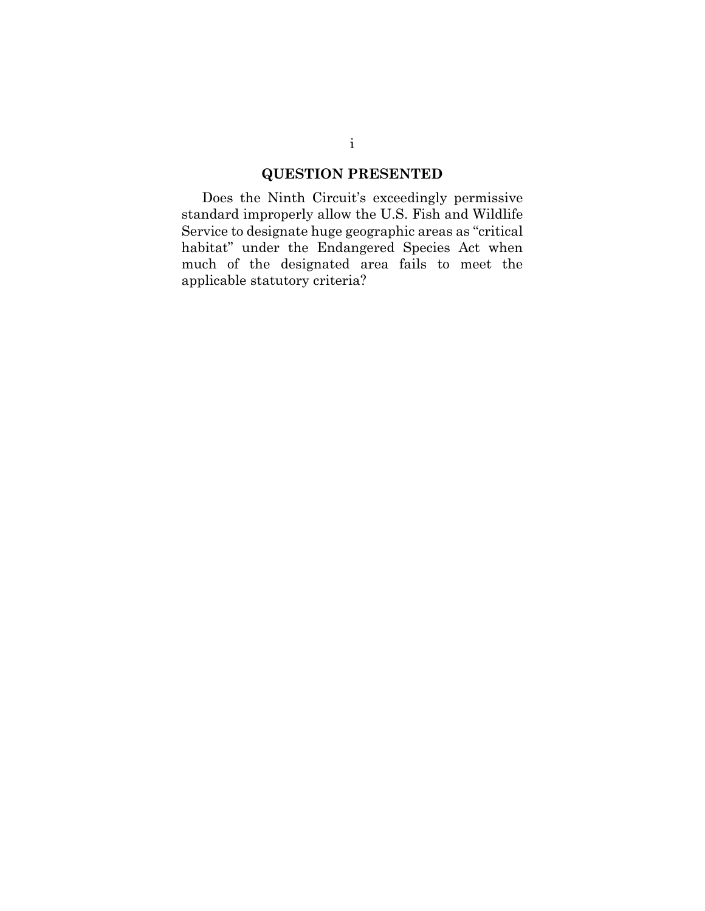# **QUESTION PRESENTED**

Does the Ninth Circuit's exceedingly permissive standard improperly allow the U.S. Fish and Wildlife Service to designate huge geographic areas as "critical habitat" under the Endangered Species Act when much of the designated area fails to meet the applicable statutory criteria?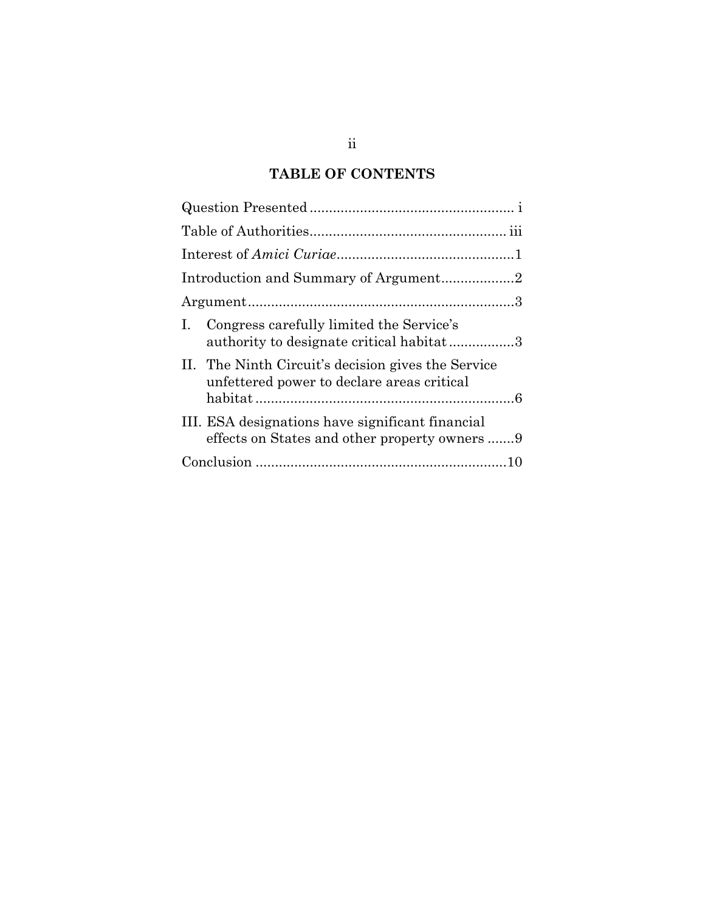## **TABLE OF CONTENTS**

| Congress carefully limited the Service's<br>$\mathbf{I}$ .<br>authority to designate critical habitat3 |  |
|--------------------------------------------------------------------------------------------------------|--|
| II. The Ninth Circuit's decision gives the Service<br>unfettered power to declare areas critical       |  |
| III. ESA designations have significant financial<br>effects on States and other property owners 9      |  |
|                                                                                                        |  |
|                                                                                                        |  |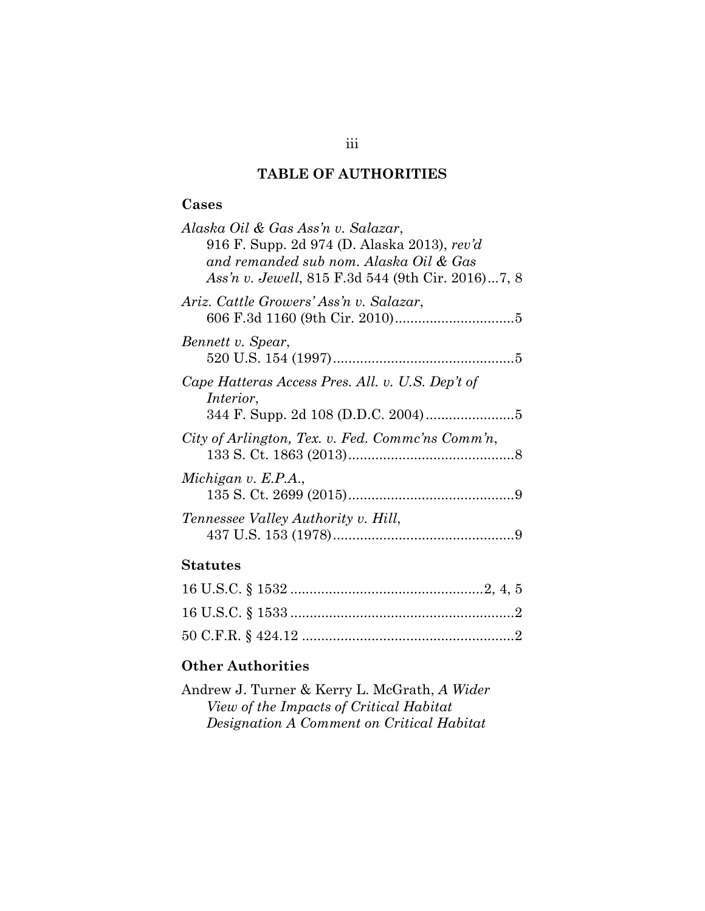## **TABLE OF AUTHORITIES**

## **Cases**

| Alaska Oil & Gas Ass'n v. Salazar,                |
|---------------------------------------------------|
| 916 F. Supp. 2d 974 (D. Alaska 2013), rev'd       |
| and remanded sub nom. Alaska Oil & Gas            |
| Ass'n v. Jewell, 815 F.3d 544 (9th Cir. 2016)7, 8 |
| Ariz. Cattle Growers' Ass'n v. Salazar,           |
|                                                   |
| Bennett v. Spear,                                 |
|                                                   |
| Cape Hatteras Access Pres. All. v. U.S. Dep't of  |
| <i>Interior</i> ,                                 |
|                                                   |
| City of Arlington, Tex. v. Fed. Commc'ns Comm'n,  |
|                                                   |
| Michigan v. E.P.A.,                               |
|                                                   |
| Tennessee Valley Authority v. Hill,               |
|                                                   |
|                                                   |

## **Statutes**

## **Other Authorities**

| Andrew J. Turner & Kerry L. McGrath, A Wider |
|----------------------------------------------|
| View of the Impacts of Critical Habitat      |
| Designation A Comment on Critical Habitat    |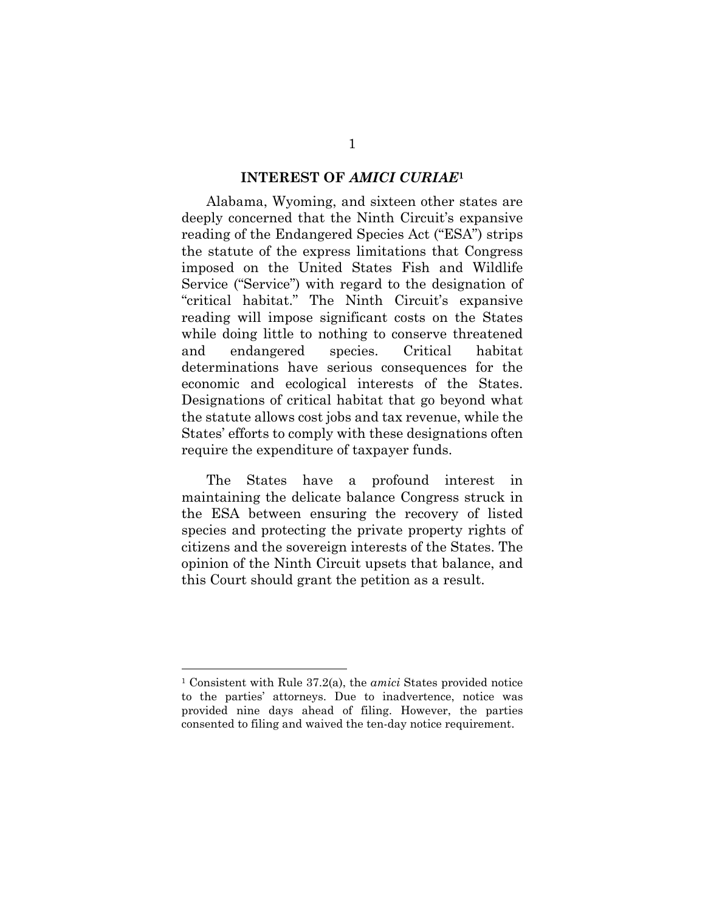#### **INTEREST OF** *AMICI CURIAE***<sup>1</sup>**

Alabama, Wyoming, and sixteen other states are deeply concerned that the Ninth Circuit's expansive reading of the Endangered Species Act ("ESA") strips the statute of the express limitations that Congress imposed on the United States Fish and Wildlife Service ("Service") with regard to the designation of "critical habitat." The Ninth Circuit's expansive reading will impose significant costs on the States while doing little to nothing to conserve threatened and endangered species. Critical habitat determinations have serious consequences for the economic and ecological interests of the States. Designations of critical habitat that go beyond what the statute allows cost jobs and tax revenue, while the States' efforts to comply with these designations often require the expenditure of taxpayer funds.

The States have a profound interest in maintaining the delicate balance Congress struck in the ESA between ensuring the recovery of listed species and protecting the private property rights of citizens and the sovereign interests of the States. The opinion of the Ninth Circuit upsets that balance, and this Court should grant the petition as a result.

l

<sup>1</sup> Consistent with Rule 37.2(a), the *amici* States provided notice to the parties' attorneys. Due to inadvertence, notice was provided nine days ahead of filing. However, the parties consented to filing and waived the ten-day notice requirement.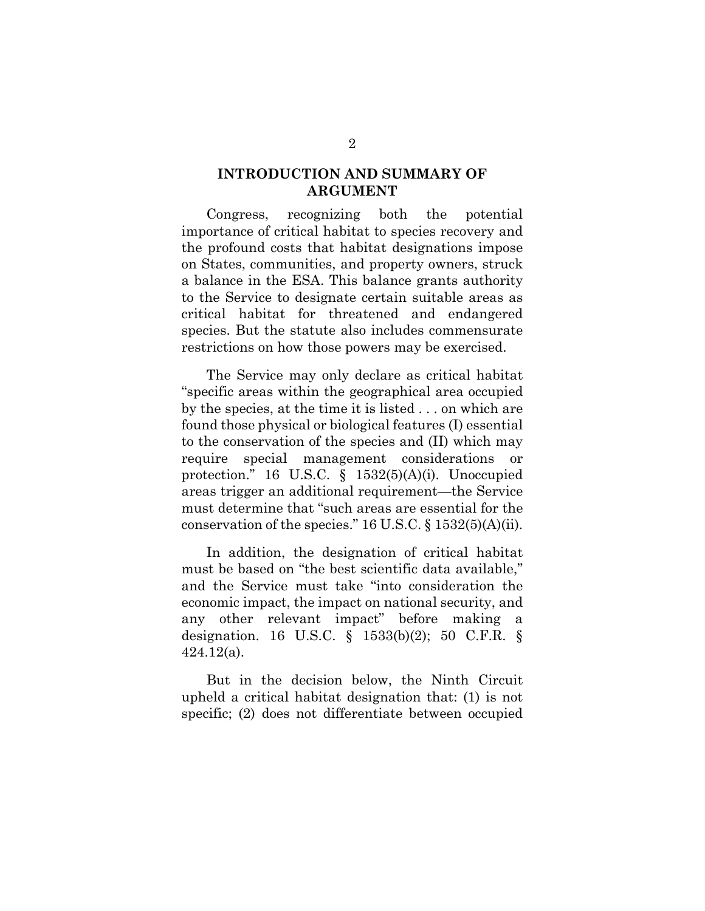## **INTRODUCTION AND SUMMARY OF ARGUMENT**

Congress, recognizing both the potential importance of critical habitat to species recovery and the profound costs that habitat designations impose on States, communities, and property owners, struck a balance in the ESA. This balance grants authority to the Service to designate certain suitable areas as critical habitat for threatened and endangered species. But the statute also includes commensurate restrictions on how those powers may be exercised.

The Service may only declare as critical habitat "specific areas within the geographical area occupied by the species, at the time it is listed . . . on which are found those physical or biological features (I) essential to the conservation of the species and (II) which may require special management considerations or protection." 16 U.S.C. § 1532(5)(A)(i). Unoccupied areas trigger an additional requirement—the Service must determine that "such areas are essential for the conservation of the species." 16 U.S.C. § 1532(5)(A)(ii).

In addition, the designation of critical habitat must be based on "the best scientific data available," and the Service must take "into consideration the economic impact, the impact on national security, and any other relevant impact" before making a designation. 16 U.S.C. § 1533(b)(2); 50 C.F.R. § 424.12(a).

But in the decision below, the Ninth Circuit upheld a critical habitat designation that: (1) is not specific; (2) does not differentiate between occupied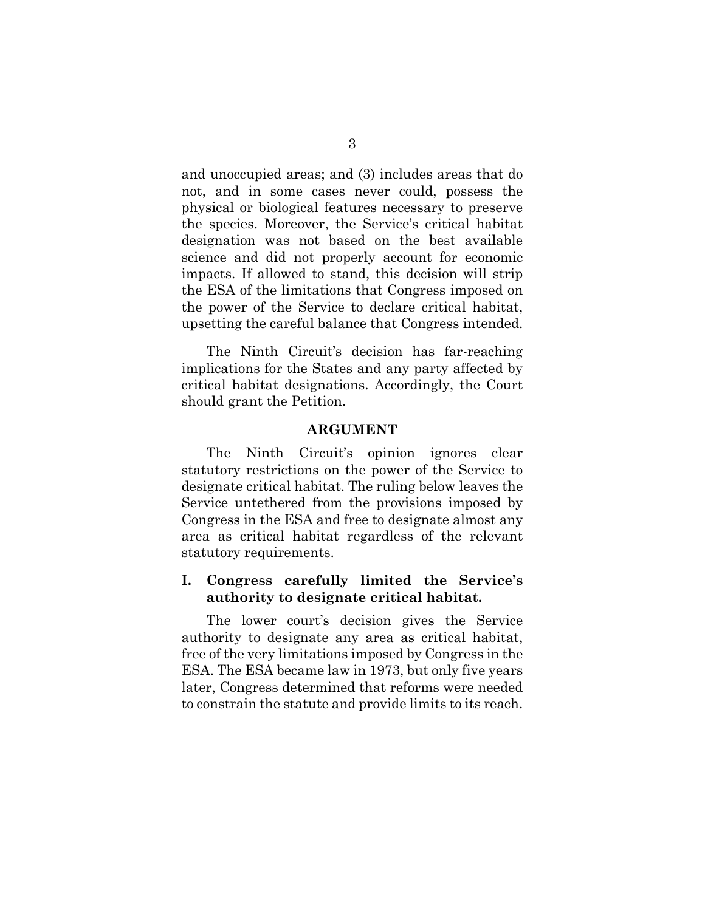and unoccupied areas; and (3) includes areas that do not, and in some cases never could, possess the physical or biological features necessary to preserve the species. Moreover, the Service's critical habitat designation was not based on the best available science and did not properly account for economic impacts. If allowed to stand, this decision will strip the ESA of the limitations that Congress imposed on the power of the Service to declare critical habitat, upsetting the careful balance that Congress intended.

The Ninth Circuit's decision has far-reaching implications for the States and any party affected by critical habitat designations. Accordingly, the Court should grant the Petition.

#### **ARGUMENT**

The Ninth Circuit's opinion ignores clear statutory restrictions on the power of the Service to designate critical habitat. The ruling below leaves the Service untethered from the provisions imposed by Congress in the ESA and free to designate almost any area as critical habitat regardless of the relevant statutory requirements.

### **I. Congress carefully limited the Service's authority to designate critical habitat.**

The lower court's decision gives the Service authority to designate any area as critical habitat, free of the very limitations imposed by Congress in the ESA. The ESA became law in 1973, but only five years later, Congress determined that reforms were needed to constrain the statute and provide limits to its reach.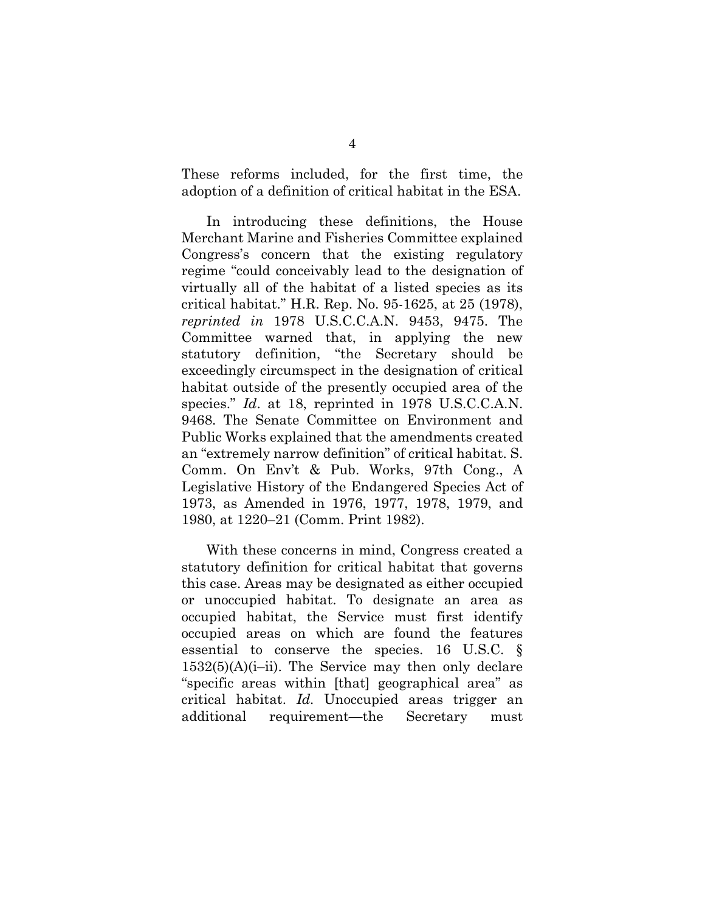These reforms included, for the first time, the adoption of a definition of critical habitat in the ESA.

In introducing these definitions, the House Merchant Marine and Fisheries Committee explained Congress's concern that the existing regulatory regime "could conceivably lead to the designation of virtually all of the habitat of a listed species as its critical habitat." H.R. Rep. No. 95-1625, at 25 (1978), *reprinted in* 1978 U.S.C.C.A.N. 9453, 9475. The Committee warned that, in applying the new statutory definition, "the Secretary should be exceedingly circumspect in the designation of critical habitat outside of the presently occupied area of the species." *Id.* at 18, reprinted in 1978 U.S.C.C.A.N. 9468. The Senate Committee on Environment and Public Works explained that the amendments created an "extremely narrow definition" of critical habitat. S. Comm. On Env't & Pub. Works, 97th Cong., A Legislative History of the Endangered Species Act of 1973, as Amended in 1976, 1977, 1978, 1979, and 1980, at 1220–21 (Comm. Print 1982).

With these concerns in mind, Congress created a statutory definition for critical habitat that governs this case. Areas may be designated as either occupied or unoccupied habitat. To designate an area as occupied habitat, the Service must first identify occupied areas on which are found the features essential to conserve the species. 16 U.S.C. §  $1532(5)(A)(i-ii)$ . The Service may then only declare "specific areas within [that] geographical area" as critical habitat. *Id.* Unoccupied areas trigger an additional requirement—the Secretary must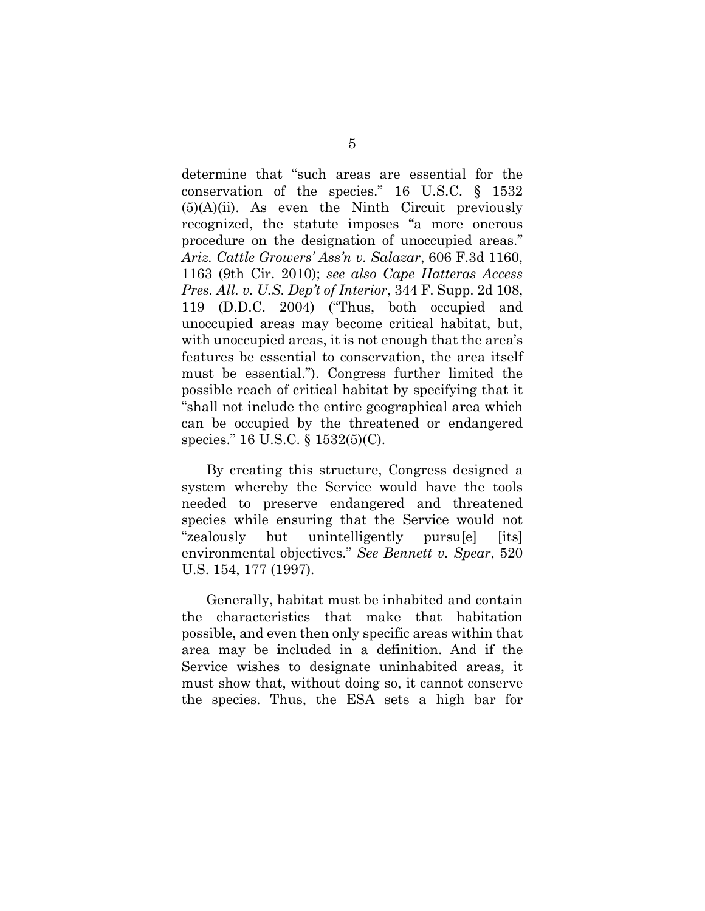determine that "such areas are essential for the conservation of the species." 16 U.S.C. § 1532  $(5)(A)(ii)$ . As even the Ninth Circuit previously recognized, the statute imposes "a more onerous procedure on the designation of unoccupied areas." *Ariz. Cattle Growers' Ass'n v. Salazar*, 606 F.3d 1160, 1163 (9th Cir. 2010); *see also Cape Hatteras Access Pres. All. v. U.S. Dep't of Interior*, 344 F. Supp. 2d 108, 119 (D.D.C. 2004) ("Thus, both occupied and unoccupied areas may become critical habitat, but, with unoccupied areas, it is not enough that the area's features be essential to conservation, the area itself must be essential."). Congress further limited the possible reach of critical habitat by specifying that it "shall not include the entire geographical area which can be occupied by the threatened or endangered species." 16 U.S.C. § 1532(5)(C).

By creating this structure, Congress designed a system whereby the Service would have the tools needed to preserve endangered and threatened species while ensuring that the Service would not "zealously but unintelligently pursu[e] [its] environmental objectives." *See Bennett v. Spear*, 520 U.S. 154, 177 (1997).

Generally, habitat must be inhabited and contain the characteristics that make that habitation possible, and even then only specific areas within that area may be included in a definition. And if the Service wishes to designate uninhabited areas, it must show that, without doing so, it cannot conserve the species. Thus, the ESA sets a high bar for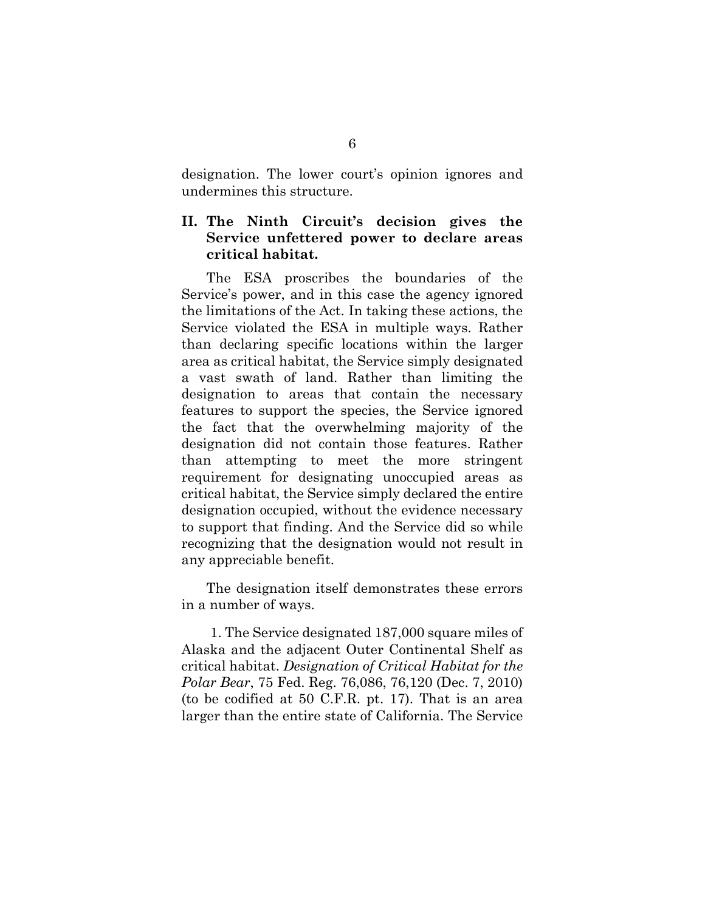designation. The lower court's opinion ignores and undermines this structure.

## **II. The Ninth Circuit's decision gives the Service unfettered power to declare areas critical habitat.**

The ESA proscribes the boundaries of the Service's power, and in this case the agency ignored the limitations of the Act. In taking these actions, the Service violated the ESA in multiple ways. Rather than declaring specific locations within the larger area as critical habitat, the Service simply designated a vast swath of land. Rather than limiting the designation to areas that contain the necessary features to support the species, the Service ignored the fact that the overwhelming majority of the designation did not contain those features. Rather than attempting to meet the more stringent requirement for designating unoccupied areas as critical habitat, the Service simply declared the entire designation occupied, without the evidence necessary to support that finding. And the Service did so while recognizing that the designation would not result in any appreciable benefit.

The designation itself demonstrates these errors in a number of ways.

 1. The Service designated 187,000 square miles of Alaska and the adjacent Outer Continental Shelf as critical habitat. *Designation of Critical Habitat for the Polar Bear*, 75 Fed. Reg. 76,086, 76,120 (Dec. 7, 2010) (to be codified at 50 C.F.R. pt. 17). That is an area larger than the entire state of California. The Service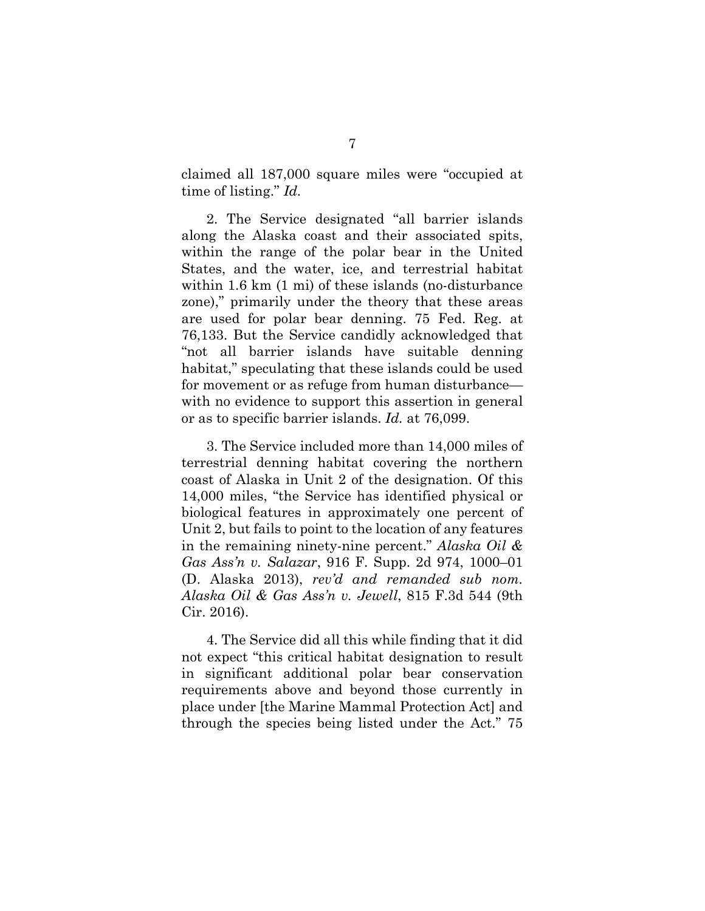claimed all 187,000 square miles were "occupied at time of listing." *Id.*

2. The Service designated "all barrier islands along the Alaska coast and their associated spits, within the range of the polar bear in the United States, and the water, ice, and terrestrial habitat within 1.6 km (1 mi) of these islands (no-disturbance zone)," primarily under the theory that these areas are used for polar bear denning. 75 Fed. Reg. at 76,133. But the Service candidly acknowledged that "not all barrier islands have suitable denning habitat," speculating that these islands could be used for movement or as refuge from human disturbance with no evidence to support this assertion in general or as to specific barrier islands. *Id.* at 76,099.

3. The Service included more than 14,000 miles of terrestrial denning habitat covering the northern coast of Alaska in Unit 2 of the designation. Of this 14,000 miles, "the Service has identified physical or biological features in approximately one percent of Unit 2, but fails to point to the location of any features in the remaining ninety-nine percent." *Alaska Oil & Gas Ass'n v. Salazar*, 916 F. Supp. 2d 974, 1000–01 (D. Alaska 2013), *rev'd and remanded sub nom. Alaska Oil & Gas Ass'n v. Jewell*, 815 F.3d 544 (9th Cir. 2016).

4. The Service did all this while finding that it did not expect "this critical habitat designation to result in significant additional polar bear conservation requirements above and beyond those currently in place under [the Marine Mammal Protection Act] and through the species being listed under the Act." 75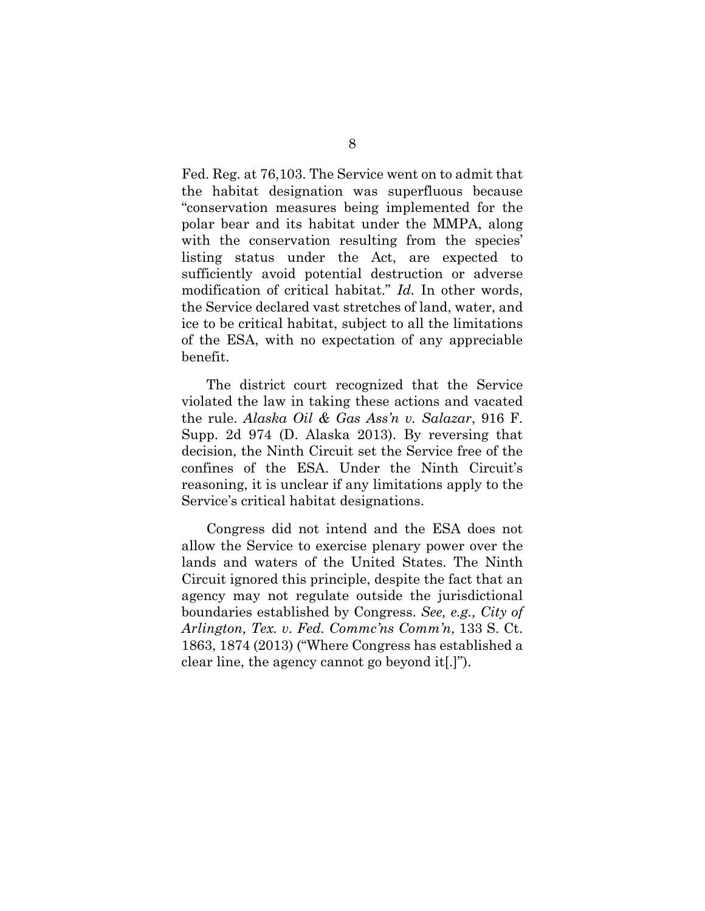Fed. Reg. at 76,103. The Service went on to admit that the habitat designation was superfluous because "conservation measures being implemented for the polar bear and its habitat under the MMPA, along with the conservation resulting from the species' listing status under the Act, are expected to sufficiently avoid potential destruction or adverse modification of critical habitat." *Id.* In other words, the Service declared vast stretches of land, water, and ice to be critical habitat, subject to all the limitations of the ESA, with no expectation of any appreciable benefit.

The district court recognized that the Service violated the law in taking these actions and vacated the rule. *Alaska Oil & Gas Ass'n v. Salazar*, 916 F. Supp. 2d 974 (D. Alaska 2013). By reversing that decision, the Ninth Circuit set the Service free of the confines of the ESA. Under the Ninth Circuit's reasoning, it is unclear if any limitations apply to the Service's critical habitat designations.

Congress did not intend and the ESA does not allow the Service to exercise plenary power over the lands and waters of the United States. The Ninth Circuit ignored this principle, despite the fact that an agency may not regulate outside the jurisdictional boundaries established by Congress. *See, e.g., City of Arlington, Tex. v. Fed. Commc'ns Comm'n*, 133 S. Ct. 1863, 1874 (2013) ("Where Congress has established a clear line, the agency cannot go beyond it[.]").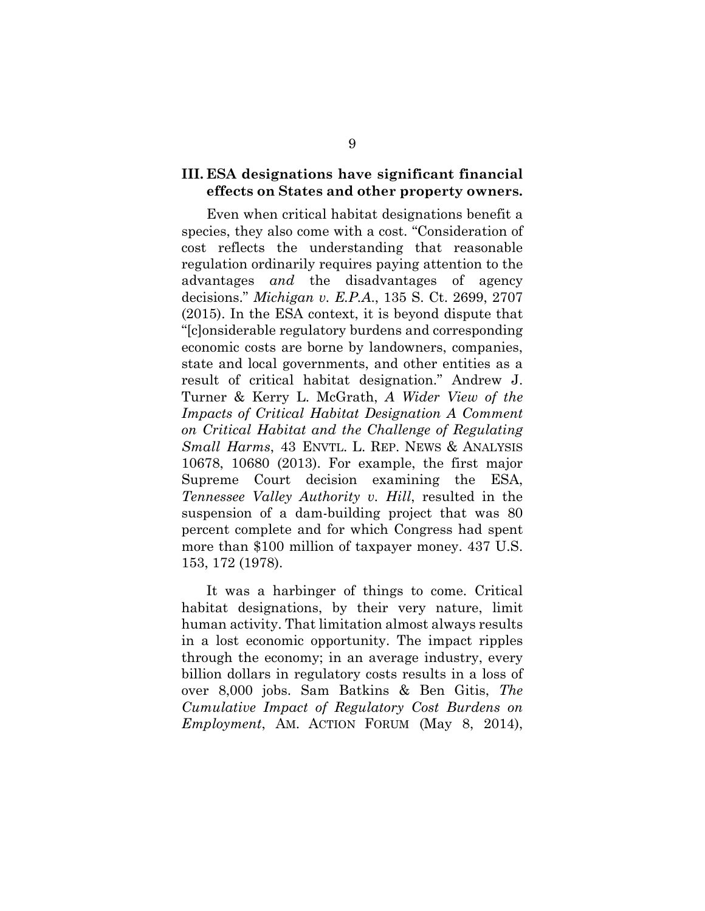### **III. ESA designations have significant financial effects on States and other property owners.**

Even when critical habitat designations benefit a species, they also come with a cost. "Consideration of cost reflects the understanding that reasonable regulation ordinarily requires paying attention to the advantages *and* the disadvantages of agency decisions." *Michigan v. E.P.A*., 135 S. Ct. 2699, 2707 (2015). In the ESA context, it is beyond dispute that "[c]onsiderable regulatory burdens and corresponding economic costs are borne by landowners, companies, state and local governments, and other entities as a result of critical habitat designation." Andrew J. Turner & Kerry L. McGrath, *A Wider View of the Impacts of Critical Habitat Designation A Comment on Critical Habitat and the Challenge of Regulating Small Harms*, 43 ENVTL. L. REP. NEWS & ANALYSIS 10678, 10680 (2013). For example, the first major Supreme Court decision examining the ESA, *Tennessee Valley Authority v. Hill*, resulted in the suspension of a dam-building project that was 80 percent complete and for which Congress had spent more than \$100 million of taxpayer money. 437 U.S. 153, 172 (1978).

It was a harbinger of things to come. Critical habitat designations, by their very nature, limit human activity. That limitation almost always results in a lost economic opportunity. The impact ripples through the economy; in an average industry, every billion dollars in regulatory costs results in a loss of over 8,000 jobs. Sam Batkins & Ben Gitis, *The Cumulative Impact of Regulatory Cost Burdens on Employment*, AM. ACTION FORUM (May 8, 2014),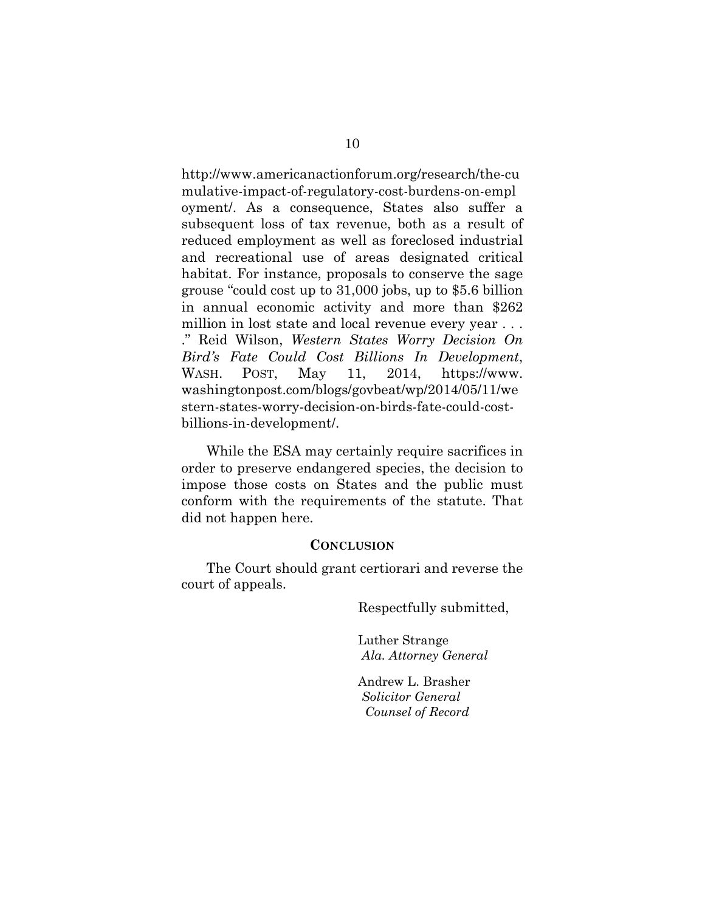http://www.americanactionforum.org/research/the-cu mulative-impact-of-regulatory-cost-burdens-on-empl oyment/. As a consequence, States also suffer a subsequent loss of tax revenue, both as a result of reduced employment as well as foreclosed industrial and recreational use of areas designated critical habitat. For instance, proposals to conserve the sage grouse "could cost up to 31,000 jobs, up to \$5.6 billion in annual economic activity and more than \$262 million in lost state and local revenue every year . . . ." Reid Wilson, *Western States Worry Decision On Bird's Fate Could Cost Billions In Development*, WASH. POST, May 11, 2014, https://www. washingtonpost.com/blogs/govbeat/wp/2014/05/11/we stern-states-worry-decision-on-birds-fate-could-costbillions-in-development/.

While the ESA may certainly require sacrifices in order to preserve endangered species, the decision to impose those costs on States and the public must conform with the requirements of the statute. That did not happen here.

#### **CONCLUSION**

The Court should grant certiorari and reverse the court of appeals.

Respectfully submitted,

Luther Strange  *Ala. Attorney General* 

Andrew L. Brasher  *Solicitor General Counsel of Record*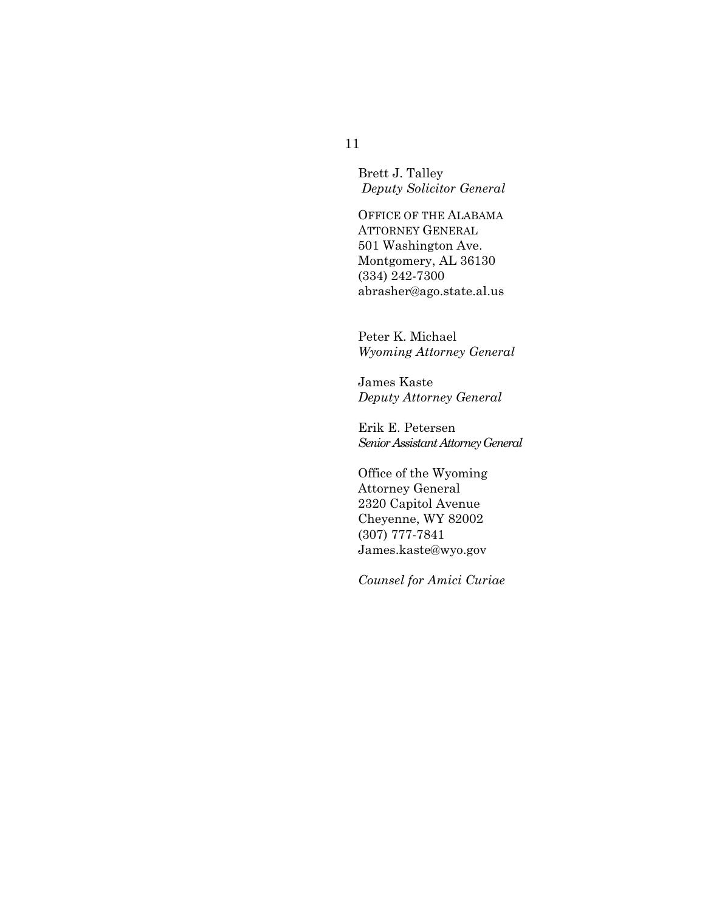Brett J. Talley  *Deputy Solicitor General* 

OFFICE OF THE ALABAMA ATTORNEY GENERAL 501 Washington Ave. Montgomery, AL 36130 (334) 242-7300 abrasher@ago.state.al.us

Peter K. Michael *Wyoming Attorney General* 

James Kaste *Deputy Attorney General* 

Erik E. Petersen *Senior Assistant Attorney General* 

Office of the Wyoming Attorney General 2320 Capitol Avenue Cheyenne, WY 82002 (307) 777-7841 James.kaste@wyo.gov

*Counsel for Amici Curiae*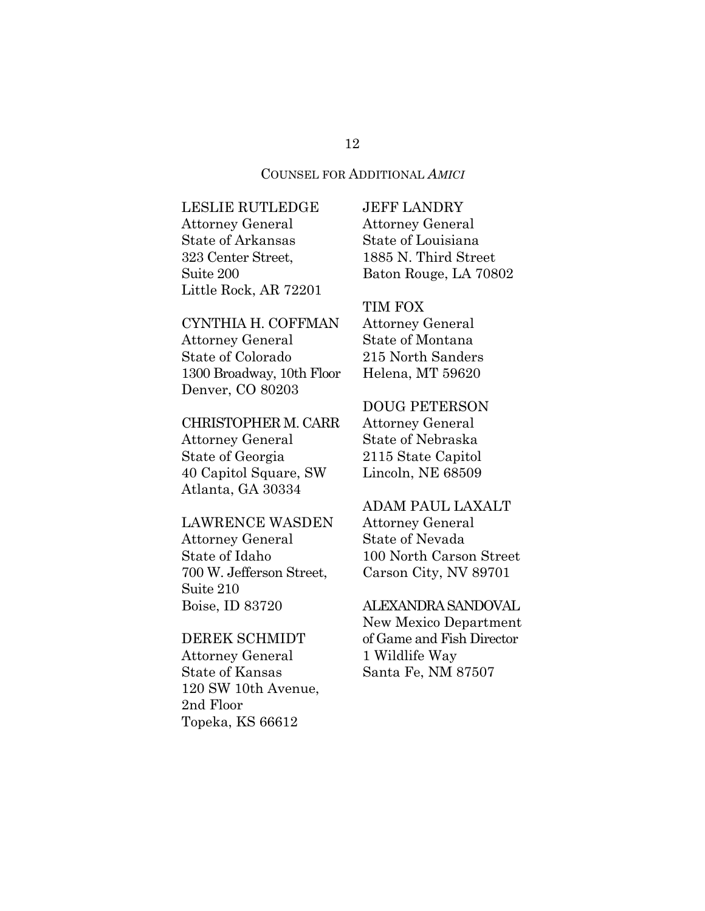#### COUNSEL FOR ADDITIONAL *AMICI*

LESLIE RUTLEDGE Attorney General State of Arkansas 323 Center Street, Suite 200 Little Rock, AR 72201

## CYNTHIA H. COFFMAN

Attorney General State of Colorado 1300 Broadway, 10th Floor Denver, CO 80203

### CHRISTOPHER M. CARR

Attorney General State of Georgia 40 Capitol Square, SW Atlanta, GA 30334

#### LAWRENCE WASDEN

Attorney General State of Idaho 700 W. Jefferson Street, Suite 210 Boise, ID 83720

### DEREK SCHMIDT

Attorney General State of Kansas 120 SW 10th Avenue, 2nd Floor Topeka, KS 66612

## JEFF LANDRY Attorney General State of Louisiana 1885 N. Third Street Baton Rouge, LA 70802

#### TIM FOX

Attorney General State of Montana 215 North Sanders Helena, MT 59620

### DOUG PETERSON

Attorney General State of Nebraska 2115 State Capitol Lincoln, NE 68509

#### ADAM PAUL LAXALT

Attorney General State of Nevada 100 North Carson Street Carson City, NV 89701

#### ALEXANDRA SANDOVAL

New Mexico Department of Game and Fish Director 1 Wildlife Way Santa Fe, NM 87507